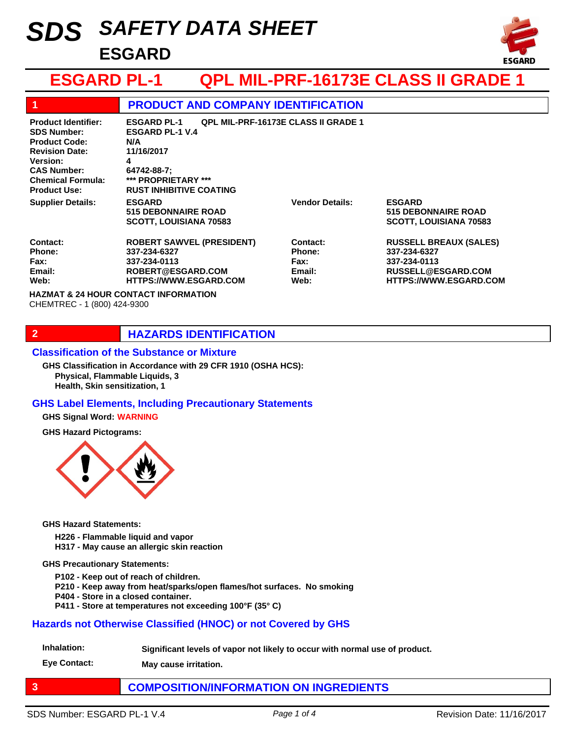# *SAFETY DATA SHEET SDS* **ESGARD**



## **ESGARD PL-1 QPL MIL-PRF-16173E CLASS II GRADE 1**

| 1                                                                                                                                                                                      | <b>PRODUCT AND COMPANY IDENTIFICATION</b>                                                                                                                                                    |                                                            |                                                                                                                             |
|----------------------------------------------------------------------------------------------------------------------------------------------------------------------------------------|----------------------------------------------------------------------------------------------------------------------------------------------------------------------------------------------|------------------------------------------------------------|-----------------------------------------------------------------------------------------------------------------------------|
| <b>Product Identifier:</b><br><b>SDS Number:</b><br><b>Product Code:</b><br><b>Revision Date:</b><br>Version:<br><b>CAS Number:</b><br><b>Chemical Formula:</b><br><b>Product Use:</b> | <b>QPL MIL-PRF-16173E CLASS II GRADE 1</b><br><b>ESGARD PL-1</b><br><b>ESGARD PL-1 V.4</b><br>N/A<br>11/16/2017<br>4<br>64742-88-7:<br>*** PROPRIETARY ***<br><b>RUST INHIBITIVE COATING</b> |                                                            |                                                                                                                             |
| <b>Supplier Details:</b>                                                                                                                                                               | <b>ESGARD</b><br><b>515 DEBONNAIRE ROAD</b><br><b>SCOTT, LOUISIANA 70583</b>                                                                                                                 | <b>Vendor Details:</b>                                     | <b>ESGARD</b><br><b>515 DEBONNAIRE ROAD</b><br><b>SCOTT, LOUISIANA 70583</b>                                                |
| Contact:<br>Phone:<br>Fax:<br>Email:<br>Web:                                                                                                                                           | <b>ROBERT SAWVEL (PRESIDENT)</b><br>337-234-6327<br>337-234-0113<br>ROBERT@ESGARD.COM<br><b>HTTPS://WWW.ESGARD.COM</b>                                                                       | Contact:<br><b>Phone:</b><br><b>Fax:</b><br>Email:<br>Web: | <b>RUSSELL BREAUX (SALES)</b><br>337-234-6327<br>337-234-0113<br><b>RUSSELL@ESGARD.COM</b><br><b>HTTPS://WWW.ESGARD.COM</b> |
| <b>HAZMAT &amp; 24 HOUR CONTACT INFORMATION</b><br>CHEMTREC - 1 (800) 424-9300                                                                                                         |                                                                                                                                                                                              |                                                            |                                                                                                                             |

## **2 HAZARDS IDENTIFICATION**

#### **Classification of the Substance or Mixture**

**Physical, Flammable Liquids, 3 Health, Skin sensitization, 1 GHS Classification in Accordance with 29 CFR 1910 (OSHA HCS):**

#### **GHS Label Elements, Including Precautionary Statements**

#### **GHS Signal Word: WARNING**

**GHS Hazard Pictograms:**



**GHS Hazard Statements:**

- **H226 Flammable liquid and vapor**
- **H317 May cause an allergic skin reaction**

#### **GHS Precautionary Statements:**

- **P102 Keep out of reach of children.**
- **P210 Keep away from heat/sparks/open flames/hot surfaces. No smoking**
- **P404 Store in a closed container.**
- **P411 Store at temperatures not exceeding 100°F (35° C)**

#### **Hazards not Otherwise Classified (HNOC) or not Covered by GHS**

**Inhalation: Significant levels of vapor not likely to occur with normal use of product.**

**Eye Contact: May cause irritation.**

## **3 COMPOSITION/INFORMATION ON INGREDIENTS**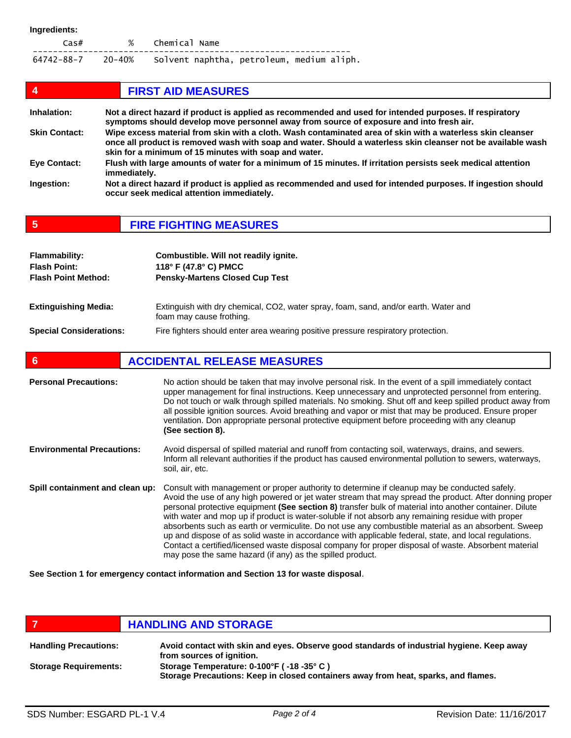| Cas#                                                        | % Chemical Name |  |  |
|-------------------------------------------------------------|-----------------|--|--|
| 64742-88-7 20-40% Solvent naphtha, petroleum, medium aliph. |                 |  |  |

| 4                    | <b>FIRST AID MEASURES</b>                                                                                                                                                                                                                                                           |
|----------------------|-------------------------------------------------------------------------------------------------------------------------------------------------------------------------------------------------------------------------------------------------------------------------------------|
| Inhalation:          | Not a direct hazard if product is applied as recommended and used for intended purposes. If respiratory<br>symptoms should develop move personnel away from source of exposure and into fresh air.                                                                                  |
| <b>Skin Contact:</b> | Wipe excess material from skin with a cloth. Wash contaminated area of skin with a waterless skin cleanser<br>once all product is removed wash with soap and water. Should a waterless skin cleanser not be available wash<br>skin for a minimum of 15 minutes with soap and water. |
| <b>Eye Contact:</b>  | Flush with large amounts of water for a minimum of 15 minutes. If irritation persists seek medical attention<br>immediately.                                                                                                                                                        |
| Ingestion:           | Not a direct hazard if product is applied as recommended and used for intended purposes. If ingestion should<br>occur seek medical attention immediately.                                                                                                                           |

|  | <b>FIRE FIGHTING MEASURES</b> |
|--|-------------------------------|
|--|-------------------------------|

| <b>Flammability:</b><br><b>Flash Point:</b><br><b>Flash Point Method:</b> | Combustible. Will not readily ignite.<br>118° F (47.8° C) PMCC<br><b>Pensky-Martens Closed Cup Test</b>         |
|---------------------------------------------------------------------------|-----------------------------------------------------------------------------------------------------------------|
| <b>Extinguishing Media:</b>                                               | Extinguish with dry chemical, CO2, water spray, foam, sand, and/or earth. Water and<br>foam may cause frothing. |
| <b>Special Considerations:</b>                                            | Fire fighters should enter area wearing positive pressure respiratory protection.                               |

| 6                                 | <b>ACCIDENTAL RELEASE MEASURES</b>                                                                                                                                                                                                                                                                                                                                                                                                                                                                                                                                                                                                                                                                                                                                                                          |
|-----------------------------------|-------------------------------------------------------------------------------------------------------------------------------------------------------------------------------------------------------------------------------------------------------------------------------------------------------------------------------------------------------------------------------------------------------------------------------------------------------------------------------------------------------------------------------------------------------------------------------------------------------------------------------------------------------------------------------------------------------------------------------------------------------------------------------------------------------------|
| <b>Personal Precautions:</b>      | No action should be taken that may involve personal risk. In the event of a spill immediately contact<br>upper management for final instructions. Keep unnecessary and unprotected personnel from entering.<br>Do not touch or walk through spilled materials. No smoking. Shut off and keep spilled product away from<br>all possible ignition sources. Avoid breathing and vapor or mist that may be produced. Ensure proper<br>ventilation. Don appropriate personal protective equipment before proceeding with any cleanup<br>(See section 8).                                                                                                                                                                                                                                                         |
| <b>Environmental Precautions:</b> | Avoid dispersal of spilled material and runoff from contacting soil, waterways, drains, and sewers.<br>Inform all relevant authorities if the product has caused environmental pollution to sewers, waterways,<br>soil, air, etc.                                                                                                                                                                                                                                                                                                                                                                                                                                                                                                                                                                           |
| Spill containment and clean up:   | Consult with management or proper authority to determine if cleanup may be conducted safely.<br>Avoid the use of any high powered or jet water stream that may spread the product. After donning proper<br>personal protective equipment (See section 8) transfer bulk of material into another container. Dilute<br>with water and mop up if product is water-soluble if not absorb any remaining residue with proper<br>absorbents such as earth or vermiculite. Do not use any combustible material as an absorbent. Sweep<br>up and dispose of as solid waste in accordance with applicable federal, state, and local regulations.<br>Contact a certified/licensed waste disposal company for proper disposal of waste. Absorbent material<br>may pose the same hazard (if any) as the spilled product. |

**See Section 1 for emergency contact information and Section 13 for waste disposal**.

|                              | <b>HANDLING AND STORAGE</b>                                                                                                    |
|------------------------------|--------------------------------------------------------------------------------------------------------------------------------|
| <b>Handling Precautions:</b> | Avoid contact with skin and eyes. Observe good standards of industrial hygiene. Keep away<br>from sources of ignition.         |
| <b>Storage Requirements:</b> | Storage Temperature: 0-100°F (-18 -35°C)<br>Storage Precautions: Keep in closed containers away from heat, sparks, and flames. |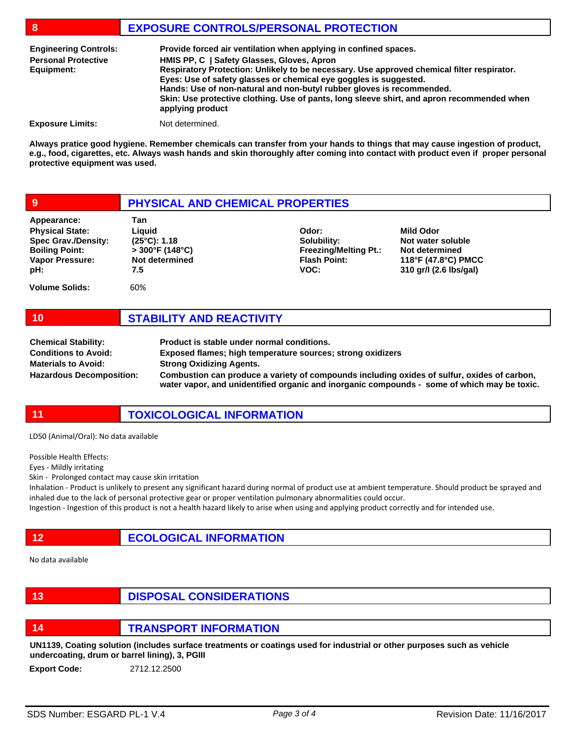## **8 EXPOSURE CONTROLS/PERSONAL PROTECTION**

| <b>Engineering Controls:</b><br><b>Personal Protective</b><br>Equipment: | Provide forced air ventilation when applying in confined spaces.<br>HMIS PP, C   Safety Glasses, Gloves, Apron<br>Respiratory Protection: Unlikely to be necessary. Use approved chemical filter respirator.<br>Eyes: Use of safety glasses or chemical eye goggles is suggested.<br>Hands: Use of non-natural and non-butyl rubber gloves is recommended.<br>Skin: Use protective clothing. Use of pants, long sleeve shirt, and apron recommended when<br>applying product |
|--------------------------------------------------------------------------|------------------------------------------------------------------------------------------------------------------------------------------------------------------------------------------------------------------------------------------------------------------------------------------------------------------------------------------------------------------------------------------------------------------------------------------------------------------------------|
| <b>Exposure Limits:</b>                                                  | Not determined.                                                                                                                                                                                                                                                                                                                                                                                                                                                              |

**Always pratice good hygiene. Remember chemicals can transfer from your hands to things that may cause ingestion of product, e.g., food, cigarettes, etc. Always wash hands and skin thoroughly after coming into contact with product even if proper personal protective equipment was used.** 

| 9                                                                                                                             | PHYSICAL AND CHEMICAL PROPERTIES                                                            |                                                                                     |                                                                                                   |
|-------------------------------------------------------------------------------------------------------------------------------|---------------------------------------------------------------------------------------------|-------------------------------------------------------------------------------------|---------------------------------------------------------------------------------------------------|
| Appearance:<br><b>Physical State:</b><br><b>Spec Grav./Density:</b><br><b>Boiling Point:</b><br><b>Vapor Pressure:</b><br>pH: | Tan<br>Liauid<br>$(25^{\circ}C): 1.18$<br>$>300^{\circ}$ F (148°C)<br>Not determined<br>7.5 | Odor:<br>Solubility:<br><b>Freezing/Melting Pt.:</b><br><b>Flash Point:</b><br>VOC: | Mild Odor<br>Not water soluble<br>Not determined<br>118°F (47.8°C) PMCC<br>310 gr/l (2.6 lbs/gal) |
| <b>Volume Solids:</b>                                                                                                         | 60%                                                                                         |                                                                                     |                                                                                                   |

| <b>Chemical Stability:</b>      | Product is stable under normal conditions.                                                                                                                                                 |
|---------------------------------|--------------------------------------------------------------------------------------------------------------------------------------------------------------------------------------------|
| <b>Conditions to Avoid:</b>     | Exposed flames; high temperature sources; strong oxidizers                                                                                                                                 |
| <b>Materials to Avoid:</b>      | <b>Strong Oxidizing Agents.</b>                                                                                                                                                            |
| <b>Hazardous Decomposition:</b> | Combustion can produce a variety of compounds including oxides of sulfur, oxides of carbon,<br>water vapor, and unidentified organic and inorganic compounds - some of which may be toxic. |

**11 TOXICOLOGICAL INFORMATION**

LD50 (Animal/Oral): No data available

Possible Health Effects:

Eyes - Mildly irritating

Skin - Prolonged contact may cause skin irritation

Inhalation - Product is unlikely to present any significant hazard during normal of product use at ambient temperature. Should product be sprayed and inhaled due to the lack of personal protective gear or proper ventilation pulmonary abnormalities could occur.

Ingestion - Ingestion of this product is not a health hazard likely to arise when using and applying product correctly and for intended use.

**12 ECOLOGICAL INFORMATION**

No data available

| -13 | <b>DISPOSAL CONSIDERATIONS</b> |
|-----|--------------------------------|
|-----|--------------------------------|

**10 STABILITY AND REACTIVITY**

**14 TRANSPORT INFORMATION**

**UN1139, Coating solution (includes surface treatments or coatings used for industrial or other purposes such as vehicle undercoating, drum or barrel lining), 3, PGIII**

**Export Code:** 2712.12.2500